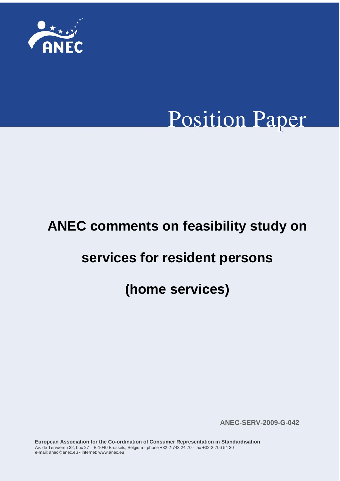

# **Position Paper**

# **ANEC comments on feasibility study on**

# **services for resident persons**

# **(home services)**

**ANEC-SERV-2009-G-042**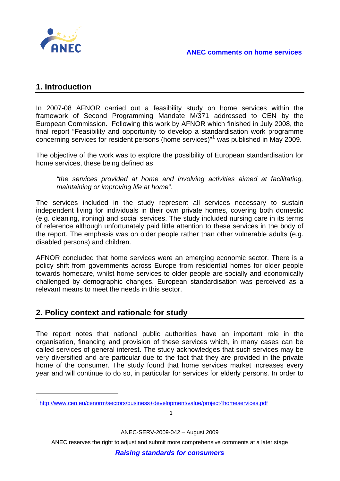

# **1. Introduction**

 $\overline{a}$ 

In 2007-08 AFNOR carried out a feasibility study on home services within the framework of Second Programming Mandate M/371 addressed to CEN by the European Commission. Following this work by AFNOR which finished in July 2008, the final report "Feasibility and opportunity to develop a standardisation work programme concerning services for resident persons (home services)"[1](#page-1-0) was published in May 2009.

The objective of the work was to explore the possibility of European standardisation for home services, these being defined as

*"the services provided at home and involving activities aimed at facilitating, maintaining or improving life at home*".

The services included in the study represent all services necessary to sustain independent living for individuals in their own private homes, covering both domestic (e.g. cleaning, ironing) and social services. The study included nursing care in its terms of reference although unfortunately paid little attention to these services in the body of the report. The emphasis was on older people rather than other vulnerable adults (e.g. disabled persons) and children.

AFNOR concluded that home services were an emerging economic sector. There is a policy shift from governments across Europe from residential homes for older people towards homecare, whilst home services to older people are socially and economically challenged by demographic changes. European standardisation was perceived as a relevant means to meet the needs in this sector.

# **2. Policy context and rationale for study**

The report notes that national public authorities have an important role in the organisation, financing and provision of these services which, in many cases can be called services of general interest. The study acknowledges that such services may be very diversified and are particular due to the fact that they are provided in the private home of the consumer. The study found that home services market increases every year and will continue to do so, in particular for services for elderly persons. In order to

1

ANEC-SERV-2009-042 – August 2009

<span id="page-1-0"></span><sup>&</sup>lt;sup>1</sup> <http://www.cen.eu/cenorm/sectors/business+development/value/project4homeservices.pdf>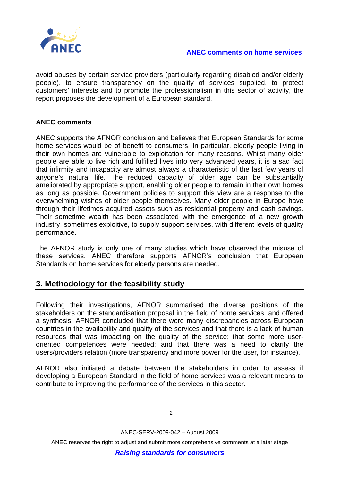

avoid abuses by certain service providers (particularly regarding disabled and/or elderly people), to ensure transparency on the quality of services supplied, to protect customers' interests and to promote the professionalism in this sector of activity, the report proposes the development of a European standard.

### **ANEC comments**

ANEC supports the AFNOR conclusion and believes that European Standards for some home services would be of benefit to consumers. In particular, elderly people living in their own homes are vulnerable to exploitation for many reasons. Whilst many older people are able to live rich and fulfilled lives into very advanced years, it is a sad fact that infirmity and incapacity are almost always a characteristic of the last few years of anyone's natural life. The reduced capacity of older age can be substantially ameliorated by appropriate support, enabling older people to remain in their own homes as long as possible. Government policies to support this view are a response to the overwhelming wishes of older people themselves. Many older people in Europe have through their lifetimes acquired assets such as residential property and cash savings. Their sometime wealth has been associated with the emergence of a new growth industry, sometimes exploitive, to supply support services, with different levels of quality performance.

The AFNOR study is only one of many studies which have observed the misuse of these services. ANEC therefore supports AFNOR's conclusion that European Standards on home services for elderly persons are needed.

# **3. Methodology for the feasibility study**

Following their investigations, AFNOR summarised the diverse positions of the stakeholders on the standardisation proposal in the field of home services, and offered a synthesis. AFNOR concluded that there were many discrepancies across European countries in the availability and quality of the services and that there is a lack of human resources that was impacting on the quality of the service; that some more useroriented competences were needed; and that there was a need to clarify the users/providers relation (more transparency and more power for the user, for instance).

AFNOR also initiated a debate between the stakeholders in order to assess if developing a European Standard in the field of home services was a relevant means to contribute to improving the performance of the services in this sector.

ANEC-SERV-2009-042 – August 2009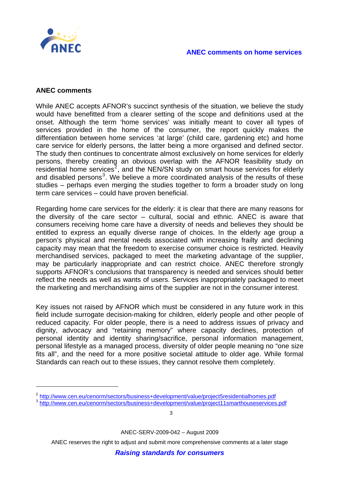

#### **ANEC comments**

 $\overline{a}$ 

While ANEC accepts AFNOR's succinct synthesis of the situation, we believe the study would have benefitted from a clearer setting of the scope and definitions used at the onset. Although the term 'home services' was initially meant to cover all types of services provided in the home of the consumer, the report quickly makes the differentiation between home services 'at large' (child care, gardening etc) and home care service for elderly persons, the latter being a more organised and defined sector. The study then continues to concentrate almost exclusively on home services for elderly persons, thereby creating an obvious overlap with the AFNOR feasibility study on residential home services<sup>[2](#page-3-0)</sup>, and the NEN/SN study on smart house services for elderly and disabled persons<sup>[3](#page-3-1)</sup>. We believe a more coordinated analysis of the results of these studies – perhaps even merging the studies together to form a broader study on long term care services – could have proven beneficial.

Regarding home care services for the elderly: it is clear that there are many reasons for the diversity of the care sector – cultural, social and ethnic. ANEC is aware that consumers receiving home care have a diversity of needs and believes they should be entitled to express an equally diverse range of choices. In the elderly age group a person's physical and mental needs associated with increasing frailty and declining capacity may mean that the freedom to exercise consumer choice is restricted. Heavily merchandised services, packaged to meet the marketing advantage of the supplier, may be particularly inappropriate and can restrict choice. ANEC therefore strongly supports AFNOR's conclusions that transparency is needed and services should better reflect the needs as well as wants of users. Services inappropriately packaged to meet the marketing and merchandising aims of the supplier are not in the consumer interest.

Key issues not raised by AFNOR which must be considered in any future work in this field include surrogate decision-making for children, elderly people and other people of reduced capacity. For older people, there is a need to address issues of privacy and dignity, advocacy and "retaining memory" where capacity declines, protection of personal identity and identity sharing/sacrifice, personal information management, personal lifestyle as a managed process, diversity of older people meaning no "one size fits all", and the need for a more positive societal attitude to older age. While formal Standards can reach out to these issues, they cannot resolve them completely.

3

ANEC-SERV-2009-042 – August 2009

<span id="page-3-0"></span><sup>2</sup> <http://www.cen.eu/cenorm/sectors/business+development/value/project5residentialhomes.pdf>

<span id="page-3-1"></span><sup>&</sup>lt;sup>3</sup> <http://www.cen.eu/cenorm/sectors/business+development/value/project11smarthouseservices.pdf>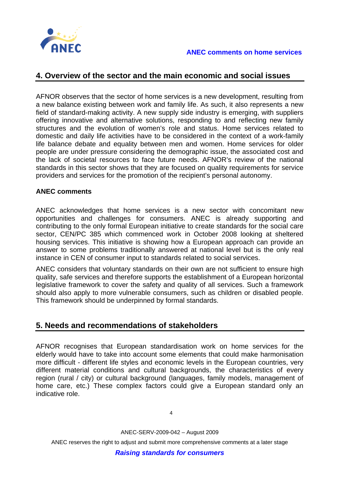

#### **ANEC comments on home services**

## **4. Overview of the sector and the main economic and social issues**

AFNOR observes that the sector of home services is a new development, resulting from a new balance existing between work and family life. As such, it also represents a new field of standard-making activity. A new supply side industry is emerging, with suppliers offering innovative and alternative solutions, responding to and reflecting new family structures and the evolution of women's role and status. Home services related to domestic and daily life activities have to be considered in the context of a work-family life balance debate and equality between men and women. Home services for older people are under pressure considering the demographic issue, the associated cost and the lack of societal resources to face future needs. AFNOR's review of the national standards in this sector shows that they are focused on quality requirements for service providers and services for the promotion of the recipient's personal autonomy.

#### **ANEC comments**

ANEC acknowledges that home services is a new sector with concomitant new opportunities and challenges for consumers. ANEC is already supporting and contributing to the only formal European initiative to create standards for the social care sector, CEN/PC 385 which commenced work in October 2008 looking at sheltered housing services. This initiative is showing how a European approach can provide an answer to some problems traditionally answered at national level but is the only real instance in CEN of consumer input to standards related to social services.

ANEC considers that voluntary standards on their own are not sufficient to ensure high quality, safe services and therefore supports the establishment of a European horizontal legislative framework to cover the safety and quality of all services. Such a framework should also apply to more vulnerable consumers, such as children or disabled people. This framework should be underpinned by formal standards.

# **5. Needs and recommendations of stakeholders**

AFNOR recognises that European standardisation work on home services for the elderly would have to take into account some elements that could make harmonisation more difficult - different life styles and economic levels in the European countries, very different material conditions and cultural backgrounds, the characteristics of every region (rural / city) or cultural background (languages, family models, management of home care, etc.) These complex factors could give a European standard only an indicative role.

ANEC-SERV-2009-042 – August 2009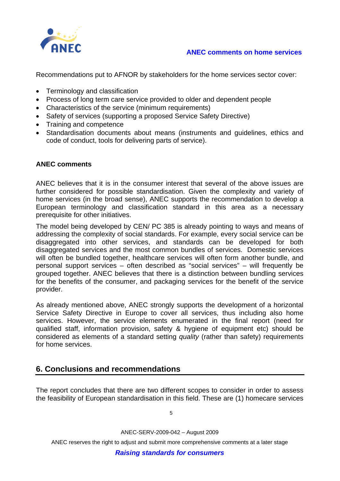

### **ANEC comments on home services**

Recommendations put to AFNOR by stakeholders for the home services sector cover:

- Terminology and classification
- Process of long term care service provided to older and dependent people
- Characteristics of the service (minimum requirements)
- Safety of services (supporting a proposed Service Safety Directive)
- Training and competence
- Standardisation documents about means (instruments and guidelines, ethics and code of conduct, tools for delivering parts of service).

#### **ANEC comments**

ANEC believes that it is in the consumer interest that several of the above issues are further considered for possible standardisation. Given the complexity and variety of home services (in the broad sense), ANEC supports the recommendation to develop a European terminology and classification standard in this area as a necessary prerequisite for other initiatives.

The model being developed by CEN/ PC 385 is already pointing to ways and means of addressing the complexity of social standards. For example, every social service can be disaggregated into other services, and standards can be developed for both disaggregated services and the most common bundles of services. Domestic services will often be bundled together, healthcare services will often form another bundle, and personal support services – often described as "social services" – will frequently be grouped together. ANEC believes that there is a distinction between bundling services for the benefits of the consumer, and packaging services for the benefit of the service provider.

As already mentioned above, ANEC strongly supports the development of a horizontal Service Safety Directive in Europe to cover all services, thus including also home services. However, the service elements enumerated in the final report (need for qualified staff, information provision, safety & hygiene of equipment etc) should be considered as elements of a standard setting *quality* (rather than safety) requirements for home services.

# **6. Conclusions and recommendations**

The report concludes that there are two different scopes to consider in order to assess the feasibility of European standardisation in this field. These are (1) homecare services

5

ANEC-SERV-2009-042 – August 2009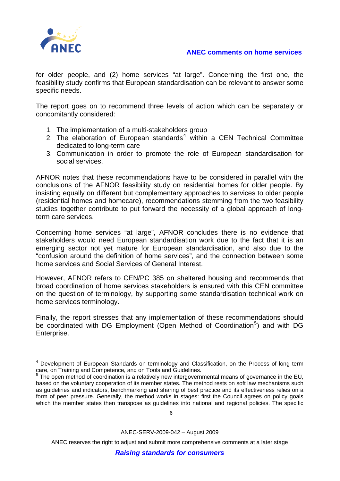

 $\overline{a}$ 

#### **ANEC comments on home services**

for older people, and (2) home services "at large". Concerning the first one, the feasibility study confirms that European standardisation can be relevant to answer some specific needs.

The report goes on to recommend three levels of action which can be separately or concomitantly considered:

- 1. The implementation of a multi-stakeholders group
- 2. The elaboration of European standards $4$  within a CEN Technical Committee dedicated to long-term care
- 3. Communication in order to promote the role of European standardisation for social services.

AFNOR notes that these recommendations have to be considered in parallel with the conclusions of the AFNOR feasibility study on residential homes for older people. By insisting equally on different but complementary approaches to services to older people (residential homes and homecare), recommendations stemming from the two feasibility studies together contribute to put forward the necessity of a global approach of longterm care services.

Concerning home services "at large", AFNOR concludes there is no evidence that stakeholders would need European standardisation work due to the fact that it is an emerging sector not yet mature for European standardisation, and also due to the "confusion around the definition of home services", and the connection between some home services and Social Services of General Interest.

However, AFNOR refers to CEN/PC 385 on sheltered housing and recommends that broad coordination of home services stakeholders is ensured with this CEN committee on the question of terminology, by supporting some standardisation technical work on home services terminology.

Finally, the report stresses that any implementation of these recommendations should be coordinated with DG Employment (Open Method of Coordination<sup>[5](#page-6-1)</sup>) and with DG Enterprise.

6

ANEC-SERV-2009-042 – August 2009

<span id="page-6-0"></span><sup>&</sup>lt;sup>4</sup> Development of European Standards on terminology and Classification, on the Process of long term care, on Training and Competence, and on Tools and Guidelines.

<span id="page-6-1"></span> $5$  The open method of coordination is a relatively new [intergovernmental](http://en.wikipedia.org/wiki/Intergovernmentalism) means of governance in the [EU](http://en.wikipedia.org/wiki/European_Union), based on the voluntary cooperation of its [member states](http://en.wikipedia.org/wiki/European_Union_member_states). The method rests on [soft law](http://en.wikipedia.org/wiki/Soft_law) mechanisms such as guidelines and indicators, [benchmarking](http://en.wikipedia.org/wiki/Benchmarking) and sharing of [best practice](http://en.wikipedia.org/wiki/Best_practice) and its effectiveness relies on a form of peer pressure. Generally, the method works in stages: first the Council agrees on policy goals which the member states then transpose as guidelines into national and regional policies. The specific

ANEC reserves the right to adjust and submit more comprehensive comments at a later stage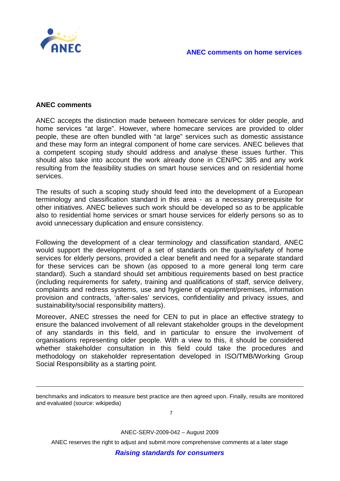

#### **ANEC comments**

 $\overline{a}$ 

ANEC accepts the distinction made between homecare services for older people, and home services "at large". However, where homecare services are provided to older people, these are often bundled with "at large" services such as domestic assistance and these may form an integral component of home care services. ANEC believes that a competent scoping study should address and analyse these issues further. This should also take into account the work already done in CEN/PC 385 and any work resulting from the feasibility studies on smart house services and on residential home services.

The results of such a scoping study should feed into the development of a European terminology and classification standard in this area - as a necessary prerequisite for other initiatives. ANEC believes such work should be developed so as to be applicable also to residential home services or smart house services for elderly persons so as to avoid unnecessary duplication and ensure consistency.

Following the development of a clear terminology and classification standard, ANEC would support the development of a set of standards on the quality/safety of home services for elderly persons, provided a clear benefit and need for a separate standard for these services can be shown (as opposed to a more general long term care standard). Such a standard should set ambitious requirements based on best practice (including requirements for safety, training and qualifications of staff, service delivery, complaints and redress systems, use and hygiene of equipment/premises, information provision and contracts, 'after-sales' services, confidentiality and privacy issues, and sustainability/social responsibility matters).

Moreover, ANEC stresses the need for CEN to put in place an effective strategy to ensure the balanced involvement of all relevant stakeholder groups in the development of any standards in this field, and in particular to ensure the involvement of organisations representing older people. With a view to this, it should be considered whether stakeholder consultation in this field could take the procedures and methodology on stakeholder representation developed in ISO/TMB/Working Group Social Responsibility as a starting point.

7

ANEC-SERV-2009-042 – August 2009

benchmarks and indicators to measure best practice are then agreed upon. Finally, results are monitored and evaluated (source: wikipedia)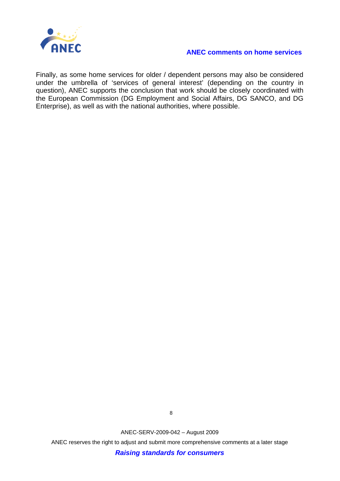

#### **ANEC comments on home services**

Finally, as some home services for older / dependent persons may also be considered under the umbrella of 'services of general interest' (depending on the country in question), ANEC supports the conclusion that work should be closely coordinated with the European Commission (DG Employment and Social Affairs, DG SANCO, and DG Enterprise), as well as with the national authorities, where possible.

ANEC-SERV-2009-042 – August 2009

8

ANEC reserves the right to adjust and submit more comprehensive comments at a later stage

*Raising standards for consumers*